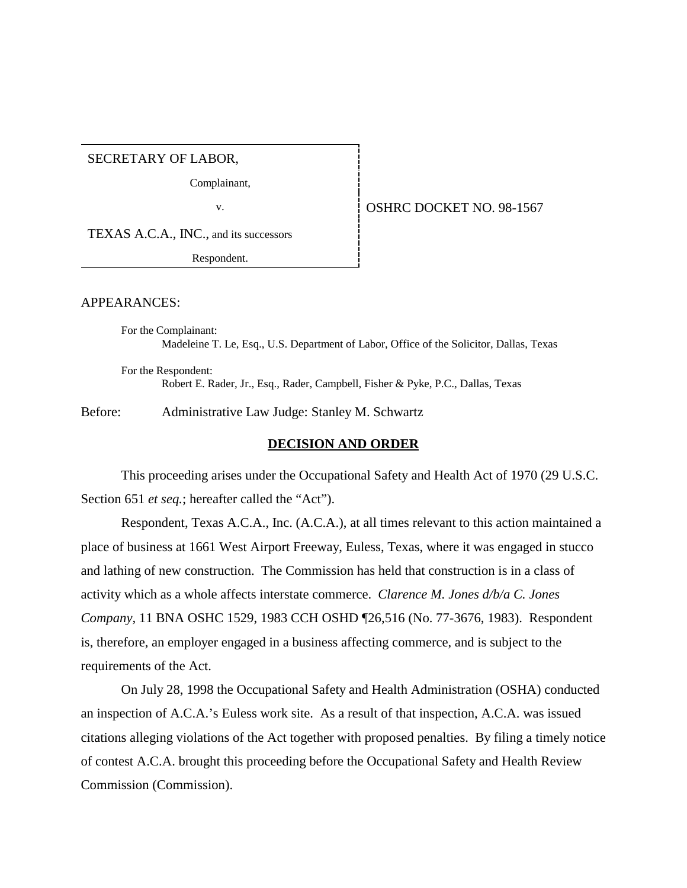SECRETARY OF LABOR,

Complainant,

TEXAS A.C.A., INC., and its successors

Respondent.

APPEARANCES:

For the Complainant:

Madeleine T. Le, Esq., U.S. Department of Labor, Office of the Solicitor, Dallas, Texas

For the Respondent: Robert E. Rader, Jr., Esq., Rader, Campbell, Fisher & Pyke, P.C., Dallas, Texas

Before: Administrative Law Judge: Stanley M. Schwartz

#### **DECISION AND ORDER**

This proceeding arises under the Occupational Safety and Health Act of 1970 (29 U.S.C. Section 651 *et seq.*; hereafter called the "Act").

Respondent, Texas A.C.A., Inc. (A.C.A.), at all times relevant to this action maintained a place of business at 1661 West Airport Freeway, Euless, Texas, where it was engaged in stucco and lathing of new construction. The Commission has held that construction is in a class of activity which as a whole affects interstate commerce. *Clarence M. Jones d/b/a C. Jones Company,* 11 BNA OSHC 1529, 1983 CCH OSHD ¶26,516 (No. 77-3676, 1983). Respondent is, therefore, an employer engaged in a business affecting commerce, and is subject to the requirements of the Act.

On July 28, 1998 the Occupational Safety and Health Administration (OSHA) conducted an inspection of A.C.A.'s Euless work site. As a result of that inspection, A.C.A. was issued citations alleging violations of the Act together with proposed penalties. By filing a timely notice of contest A.C.A. brought this proceeding before the Occupational Safety and Health Review Commission (Commission).

#### v. **CONFIDENT OSHRC DOCKET NO. 98-1567**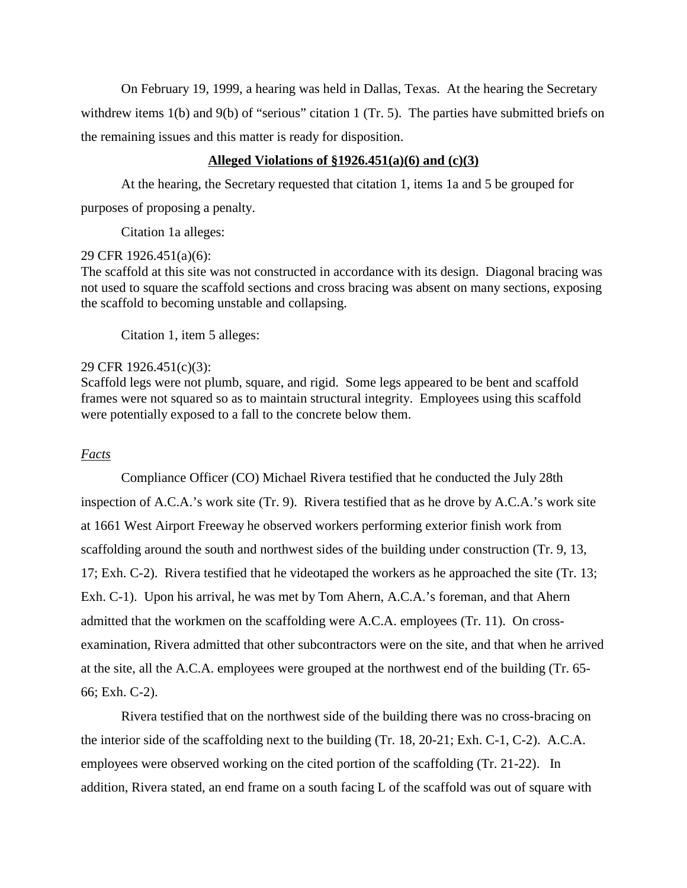On February 19, 1999, a hearing was held in Dallas, Texas. At the hearing the Secretary withdrew items 1(b) and 9(b) of "serious" citation 1 (Tr. 5). The parties have submitted briefs on the remaining issues and this matter is ready for disposition.

#### **Alleged Violations of §1926.451(a)(6) and (c)(3)**

At the hearing, the Secretary requested that citation 1, items 1a and 5 be grouped for purposes of proposing a penalty.

Citation 1a alleges:

#### 29 CFR 1926.451(a)(6):

The scaffold at this site was not constructed in accordance with its design. Diagonal bracing was not used to square the scaffold sections and cross bracing was absent on many sections, exposing the scaffold to becoming unstable and collapsing.

Citation 1, item 5 alleges:

#### 29 CFR 1926.451(c)(3):

Scaffold legs were not plumb, square, and rigid. Some legs appeared to be bent and scaffold frames were not squared so as to maintain structural integrity. Employees using this scaffold were potentially exposed to a fall to the concrete below them.

#### *Facts*

Compliance Officer (CO) Michael Rivera testified that he conducted the July 28th inspection of A.C.A.'s work site (Tr. 9). Rivera testified that as he drove by A.C.A.'s work site at 1661 West Airport Freeway he observed workers performing exterior finish work from scaffolding around the south and northwest sides of the building under construction (Tr. 9, 13, 17; Exh. C-2). Rivera testified that he videotaped the workers as he approached the site (Tr. 13; Exh. C-1). Upon his arrival, he was met by Tom Ahern, A.C.A.'s foreman, and that Ahern admitted that the workmen on the scaffolding were A.C.A. employees (Tr. 11). On crossexamination, Rivera admitted that other subcontractors were on the site, and that when he arrived at the site, all the A.C.A. employees were grouped at the northwest end of the building (Tr. 65- 66; Exh. C-2).

Rivera testified that on the northwest side of the building there was no cross-bracing on the interior side of the scaffolding next to the building (Tr. 18, 20-21; Exh. C-1, C-2). A.C.A. employees were observed working on the cited portion of the scaffolding (Tr. 21-22). In addition, Rivera stated, an end frame on a south facing L of the scaffold was out of square with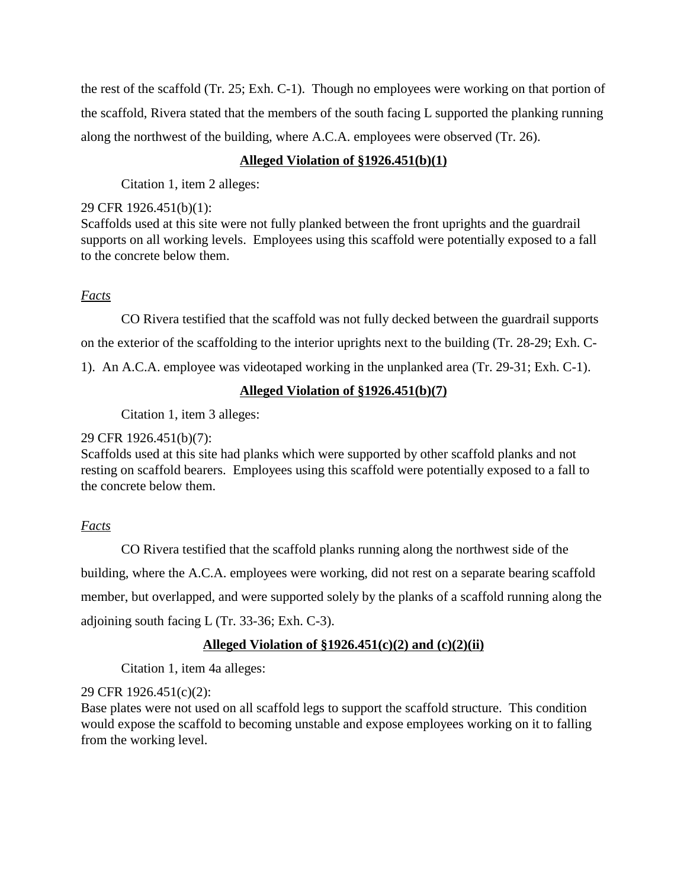the rest of the scaffold (Tr. 25; Exh. C-1). Though no employees were working on that portion of the scaffold, Rivera stated that the members of the south facing L supported the planking running along the northwest of the building, where A.C.A. employees were observed (Tr. 26).

## **Alleged Violation of §1926.451(b)(1)**

Citation 1, item 2 alleges:

#### 29 CFR 1926.451(b)(1):

Scaffolds used at this site were not fully planked between the front uprights and the guardrail supports on all working levels. Employees using this scaffold were potentially exposed to a fall to the concrete below them.

### *Facts*

CO Rivera testified that the scaffold was not fully decked between the guardrail supports on the exterior of the scaffolding to the interior uprights next to the building (Tr. 28-29; Exh. C-1). An A.C.A. employee was videotaped working in the unplanked area (Tr. 29-31; Exh. C-1).

## **Alleged Violation of §1926.451(b)(7)**

Citation 1, item 3 alleges:

### 29 CFR 1926.451(b)(7):

Scaffolds used at this site had planks which were supported by other scaffold planks and not resting on scaffold bearers. Employees using this scaffold were potentially exposed to a fall to the concrete below them.

# *Facts*

CO Rivera testified that the scaffold planks running along the northwest side of the building, where the A.C.A. employees were working, did not rest on a separate bearing scaffold member, but overlapped, and were supported solely by the planks of a scaffold running along the adjoining south facing L (Tr. 33-36; Exh. C-3).

# **Alleged Violation of §1926.451(c)(2) and (c)(2)(ii)**

Citation 1, item 4a alleges:

### 29 CFR 1926.451(c)(2):

Base plates were not used on all scaffold legs to support the scaffold structure. This condition would expose the scaffold to becoming unstable and expose employees working on it to falling from the working level.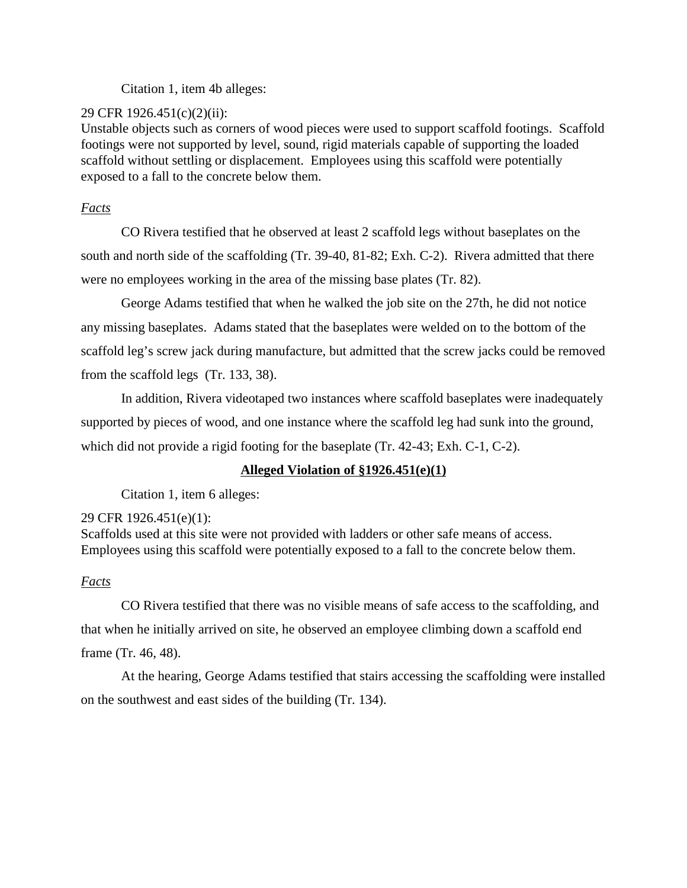Citation 1, item 4b alleges:

## 29 CFR 1926.451(c)(2)(ii):

Unstable objects such as corners of wood pieces were used to support scaffold footings. Scaffold footings were not supported by level, sound, rigid materials capable of supporting the loaded scaffold without settling or displacement. Employees using this scaffold were potentially exposed to a fall to the concrete below them.

# *Facts*

CO Rivera testified that he observed at least 2 scaffold legs without baseplates on the south and north side of the scaffolding (Tr. 39-40, 81-82; Exh. C-2). Rivera admitted that there were no employees working in the area of the missing base plates (Tr. 82).

George Adams testified that when he walked the job site on the 27th, he did not notice any missing baseplates. Adams stated that the baseplates were welded on to the bottom of the scaffold leg's screw jack during manufacture, but admitted that the screw jacks could be removed from the scaffold legs (Tr. 133, 38).

In addition, Rivera videotaped two instances where scaffold baseplates were inadequately supported by pieces of wood, and one instance where the scaffold leg had sunk into the ground, which did not provide a rigid footing for the baseplate (Tr. 42-43; Exh. C-1, C-2).

# **Alleged Violation of §1926.451(e)(1)**

Citation 1, item 6 alleges:

# 29 CFR 1926.451(e)(1):

Scaffolds used at this site were not provided with ladders or other safe means of access. Employees using this scaffold were potentially exposed to a fall to the concrete below them.

# *Facts*

CO Rivera testified that there was no visible means of safe access to the scaffolding, and that when he initially arrived on site, he observed an employee climbing down a scaffold end frame (Tr. 46, 48).

At the hearing, George Adams testified that stairs accessing the scaffolding were installed on the southwest and east sides of the building (Tr. 134).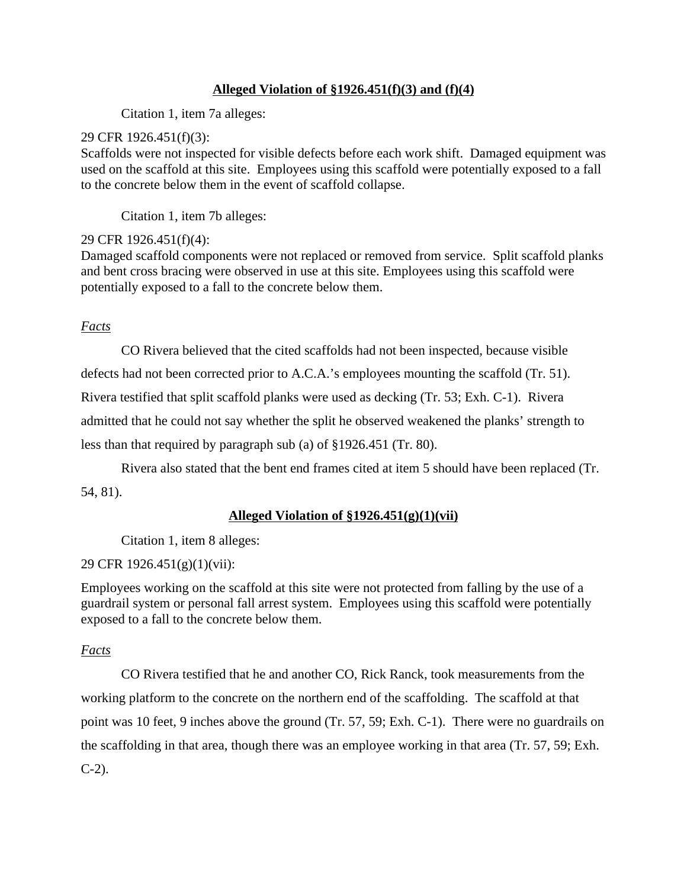## **Alleged Violation of §1926.451(f)(3) and (f)(4)**

Citation 1, item 7a alleges:

### 29 CFR 1926.451(f)(3):

Scaffolds were not inspected for visible defects before each work shift. Damaged equipment was used on the scaffold at this site. Employees using this scaffold were potentially exposed to a fall to the concrete below them in the event of scaffold collapse.

Citation 1, item 7b alleges:

# 29 CFR 1926.451(f)(4):

Damaged scaffold components were not replaced or removed from service. Split scaffold planks and bent cross bracing were observed in use at this site. Employees using this scaffold were potentially exposed to a fall to the concrete below them.

*Facts*

CO Rivera believed that the cited scaffolds had not been inspected, because visible

defects had not been corrected prior to A.C.A.'s employees mounting the scaffold (Tr. 51).

Rivera testified that split scaffold planks were used as decking (Tr. 53; Exh. C-1). Rivera

admitted that he could not say whether the split he observed weakened the planks' strength to

less than that required by paragraph sub (a) of §1926.451 (Tr. 80).

Rivera also stated that the bent end frames cited at item 5 should have been replaced (Tr. 54, 81).

# **Alleged Violation of §1926.451(g)(1)(vii)**

Citation 1, item 8 alleges:

# 29 CFR 1926.451(g)(1)(vii):

Employees working on the scaffold at this site were not protected from falling by the use of a guardrail system or personal fall arrest system. Employees using this scaffold were potentially exposed to a fall to the concrete below them.

# *Facts*

CO Rivera testified that he and another CO, Rick Ranck, took measurements from the working platform to the concrete on the northern end of the scaffolding. The scaffold at that point was 10 feet, 9 inches above the ground (Tr. 57, 59; Exh. C-1). There were no guardrails on the scaffolding in that area, though there was an employee working in that area (Tr. 57, 59; Exh. C-2).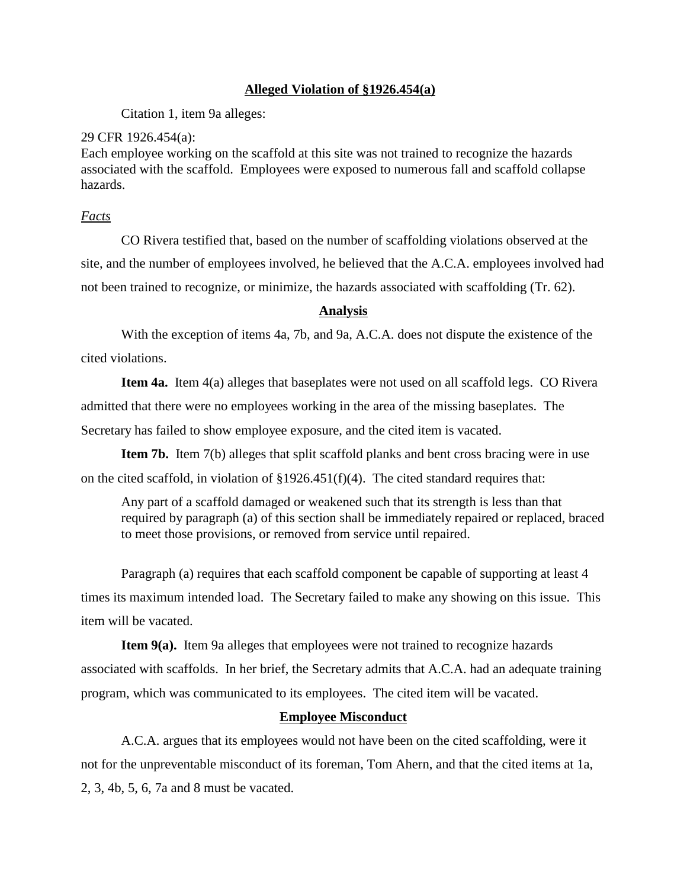### **Alleged Violation of §1926.454(a)**

Citation 1, item 9a alleges:

#### 29 CFR 1926.454(a):

Each employee working on the scaffold at this site was not trained to recognize the hazards associated with the scaffold. Employees were exposed to numerous fall and scaffold collapse hazards.

#### *Facts*

CO Rivera testified that, based on the number of scaffolding violations observed at the site, and the number of employees involved, he believed that the A.C.A. employees involved had not been trained to recognize, or minimize, the hazards associated with scaffolding (Tr. 62).

#### **Analysis**

With the exception of items 4a, 7b, and 9a, A.C.A. does not dispute the existence of the cited violations.

**Item 4a.** Item 4(a) alleges that baseplates were not used on all scaffold legs. CO Rivera admitted that there were no employees working in the area of the missing baseplates. The Secretary has failed to show employee exposure, and the cited item is vacated.

**Item 7b.** Item 7(b) alleges that split scaffold planks and bent cross bracing were in use on the cited scaffold, in violation of §1926.451(f)(4). The cited standard requires that:

Any part of a scaffold damaged or weakened such that its strength is less than that required by paragraph (a) of this section shall be immediately repaired or replaced, braced to meet those provisions, or removed from service until repaired.

Paragraph (a) requires that each scaffold component be capable of supporting at least 4 times its maximum intended load. The Secretary failed to make any showing on this issue. This item will be vacated.

**Item 9(a).** Item 9a alleges that employees were not trained to recognize hazards associated with scaffolds. In her brief, the Secretary admits that A.C.A. had an adequate training program, which was communicated to its employees. The cited item will be vacated.

### **Employee Misconduct**

A.C.A. argues that its employees would not have been on the cited scaffolding, were it not for the unpreventable misconduct of its foreman, Tom Ahern, and that the cited items at 1a, 2, 3, 4b, 5, 6, 7a and 8 must be vacated.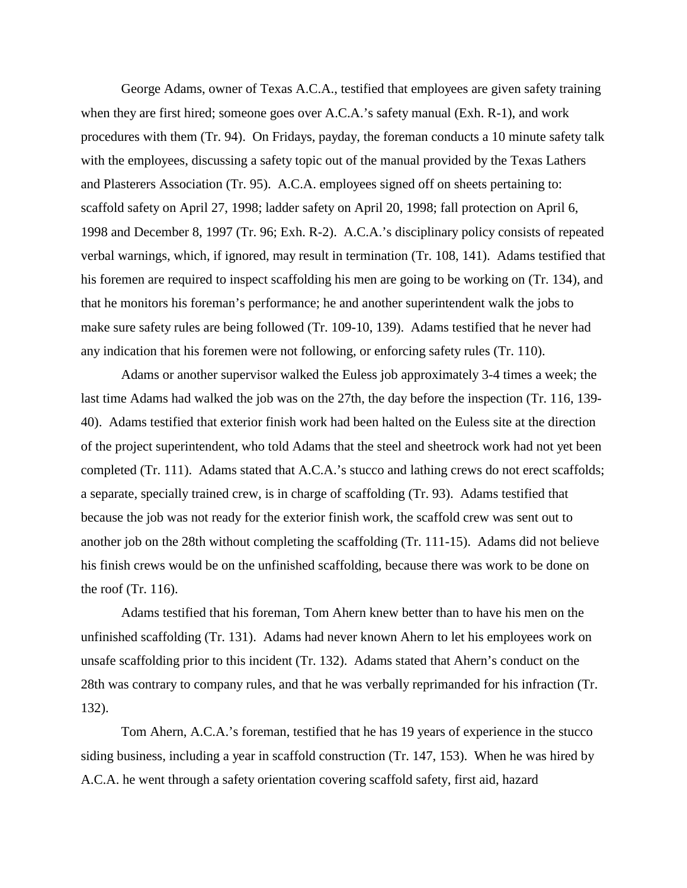George Adams, owner of Texas A.C.A., testified that employees are given safety training when they are first hired; someone goes over A.C.A.'s safety manual (Exh. R-1), and work procedures with them (Tr. 94). On Fridays, payday, the foreman conducts a 10 minute safety talk with the employees, discussing a safety topic out of the manual provided by the Texas Lathers and Plasterers Association (Tr. 95). A.C.A. employees signed off on sheets pertaining to: scaffold safety on April 27, 1998; ladder safety on April 20, 1998; fall protection on April 6, 1998 and December 8, 1997 (Tr. 96; Exh. R-2). A.C.A.'s disciplinary policy consists of repeated verbal warnings, which, if ignored, may result in termination (Tr. 108, 141). Adams testified that his foremen are required to inspect scaffolding his men are going to be working on (Tr. 134), and that he monitors his foreman's performance; he and another superintendent walk the jobs to make sure safety rules are being followed (Tr. 109-10, 139). Adams testified that he never had any indication that his foremen were not following, or enforcing safety rules (Tr. 110).

Adams or another supervisor walked the Euless job approximately 3-4 times a week; the last time Adams had walked the job was on the 27th, the day before the inspection (Tr. 116, 139- 40). Adams testified that exterior finish work had been halted on the Euless site at the direction of the project superintendent, who told Adams that the steel and sheetrock work had not yet been completed (Tr. 111). Adams stated that A.C.A.'s stucco and lathing crews do not erect scaffolds; a separate, specially trained crew, is in charge of scaffolding (Tr. 93). Adams testified that because the job was not ready for the exterior finish work, the scaffold crew was sent out to another job on the 28th without completing the scaffolding (Tr. 111-15). Adams did not believe his finish crews would be on the unfinished scaffolding, because there was work to be done on the roof (Tr. 116).

Adams testified that his foreman, Tom Ahern knew better than to have his men on the unfinished scaffolding (Tr. 131). Adams had never known Ahern to let his employees work on unsafe scaffolding prior to this incident (Tr. 132). Adams stated that Ahern's conduct on the 28th was contrary to company rules, and that he was verbally reprimanded for his infraction (Tr. 132).

Tom Ahern, A.C.A.'s foreman, testified that he has 19 years of experience in the stucco siding business, including a year in scaffold construction (Tr. 147, 153). When he was hired by A.C.A. he went through a safety orientation covering scaffold safety, first aid, hazard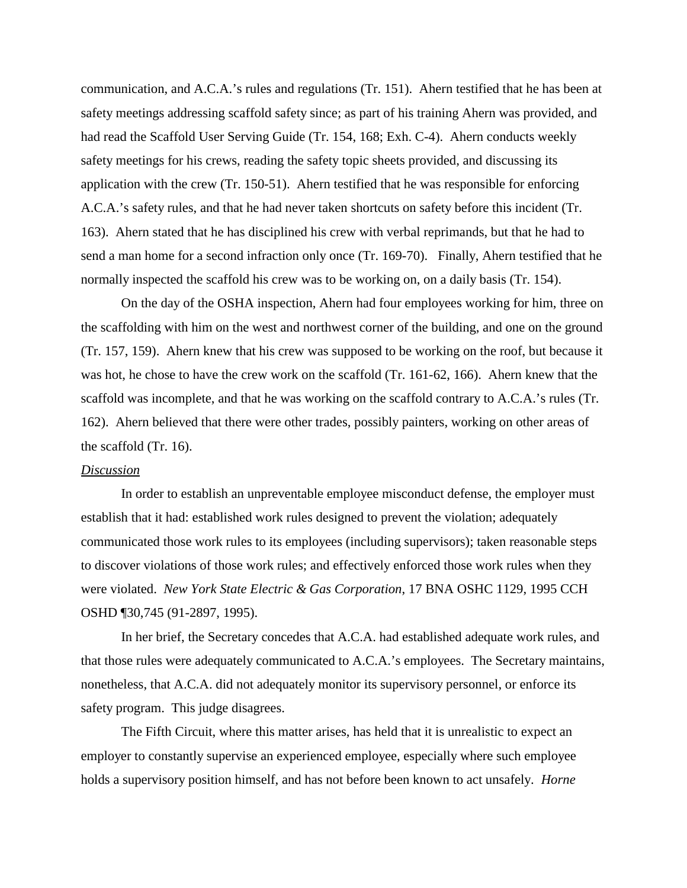communication, and A.C.A.'s rules and regulations (Tr. 151). Ahern testified that he has been at safety meetings addressing scaffold safety since; as part of his training Ahern was provided, and had read the Scaffold User Serving Guide (Tr. 154, 168; Exh. C-4). Ahern conducts weekly safety meetings for his crews, reading the safety topic sheets provided, and discussing its application with the crew (Tr. 150-51). Ahern testified that he was responsible for enforcing A.C.A.'s safety rules, and that he had never taken shortcuts on safety before this incident (Tr. 163). Ahern stated that he has disciplined his crew with verbal reprimands, but that he had to send a man home for a second infraction only once (Tr. 169-70). Finally, Ahern testified that he normally inspected the scaffold his crew was to be working on, on a daily basis (Tr. 154).

On the day of the OSHA inspection, Ahern had four employees working for him, three on the scaffolding with him on the west and northwest corner of the building, and one on the ground (Tr. 157, 159). Ahern knew that his crew was supposed to be working on the roof, but because it was hot, he chose to have the crew work on the scaffold (Tr. 161-62, 166). Ahern knew that the scaffold was incomplete, and that he was working on the scaffold contrary to A.C.A.'s rules (Tr. 162). Ahern believed that there were other trades, possibly painters, working on other areas of the scaffold (Tr. 16).

#### *Discussion*

In order to establish an unpreventable employee misconduct defense, the employer must establish that it had: established work rules designed to prevent the violation; adequately communicated those work rules to its employees (including supervisors); taken reasonable steps to discover violations of those work rules; and effectively enforced those work rules when they were violated. *New York State Electric & Gas Corporation*, 17 BNA OSHC 1129, 1995 CCH OSHD ¶30,745 (91-2897, 1995).

In her brief, the Secretary concedes that A.C.A. had established adequate work rules, and that those rules were adequately communicated to A.C.A.'s employees. The Secretary maintains, nonetheless, that A.C.A. did not adequately monitor its supervisory personnel, or enforce its safety program. This judge disagrees.

The Fifth Circuit, where this matter arises, has held that it is unrealistic to expect an employer to constantly supervise an experienced employee, especially where such employee holds a supervisory position himself, and has not before been known to act unsafely. *Horne*